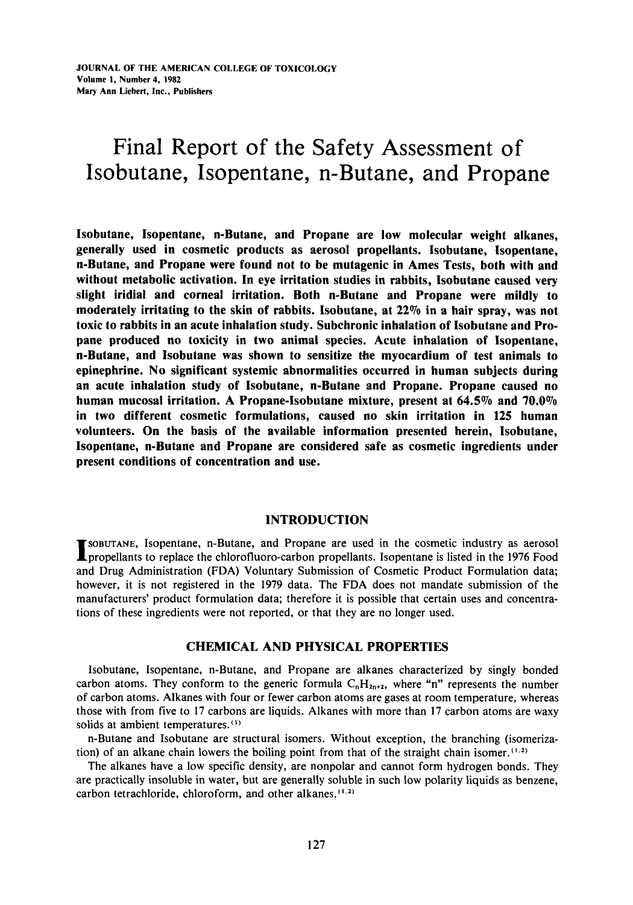# Final Report of the Safety Assessment of Isobutane, Isopentane, n-Butane, and Propane

Isobutane, Isopentane, n-Butane, and Propane are low molecular weight alkanes, generally used in cosmetic products as aerosol propellants. Isobutane, Isopentane, n-Butane, and Propane were found not to be mutagenic in Ames Tests, both with and without metabolic activation. **In** eye irritation studies **in** rabbits, Isobutane caused very slight iridial and corneal irritation. Both n-Butane and Propane were mildly to moderately irritating to the skin of rabbits. Isobutane, at **22%** in a hair spray, was not toxic to rabbits in an acute inhalation study. Subchronic inhalation of Isobutane and Propane produced **no** toxicity in two animal species. Acute inhalation of Isopentane, n-Butane, and Isobutane was shown to sensitize the myocardium of test animals to epinephrine. No significant systemic abnormalities occurred **in** human subjects during an acute inhalation study of Isobutane, n-Butane and Propane. Propane caused **no**  human mucosal irritation. A Propane-Isobutane mixture, present at **64.5%** and **70.0%**  in two different cosmetic formulations, caused **no** skin irritation in **125** human volunteers. **On** the basis of the available information presented herein, Isobutane, Isopentane, n-Butane and Propane are considered safe as cosmetic ingredients under present conditions of concentration and use.

# INTRODUCTION

**SOBUTANE,** Isopentane, n-Butane, and Propane are used in the cosmetic industry as aerosol **I** propellants to replace the chlorofluoro-carbon propellants. Isopentane is listed in the 1976 Food and Drug Administration (FDA) Voluntary Submission of Cosmetic Product Formulation data; however, it is not registered in the 1979 data. The FDA does not mandate submission of the manufacturers' product formulation data; therefore it is possible that certain uses and concentrations of these ingredients were not reported, or that they are no longer used.

# CHEMICAL AND PHYSICAL PROPERTIES

Isobutane, Isopentane, n-Butane, and Propane are alkanes characterized **by** singly bonded carbon atoms. They conform to the generic formula  $C<sub>n</sub>H<sub>2n+2</sub>$ , where "n" represents the number of carbon atoms. Alkanes with four or fewer carbon atoms are gases at room temperature, whereas those with from five to 17 carbons are liquids. Alkanes with more than 17 carbon atoms are waxy solids at ambient temperatures.<sup>(1)</sup>

n-Butane and Isobutane are structural isomers. Without exception, the branching (isomerization) of an alkane chain lowers the boiling point from that of the straight chain isomer.<sup>(1,2)</sup>

The alkanes have a low specific density, are nonpolar and cannot form hydrogen bonds. They are practically insoluble in water, but are generally soluble in such low polarity liquids as benzene, carbon tetrachloride, chloroform, and other alkanes.<sup>(1,2)</sup>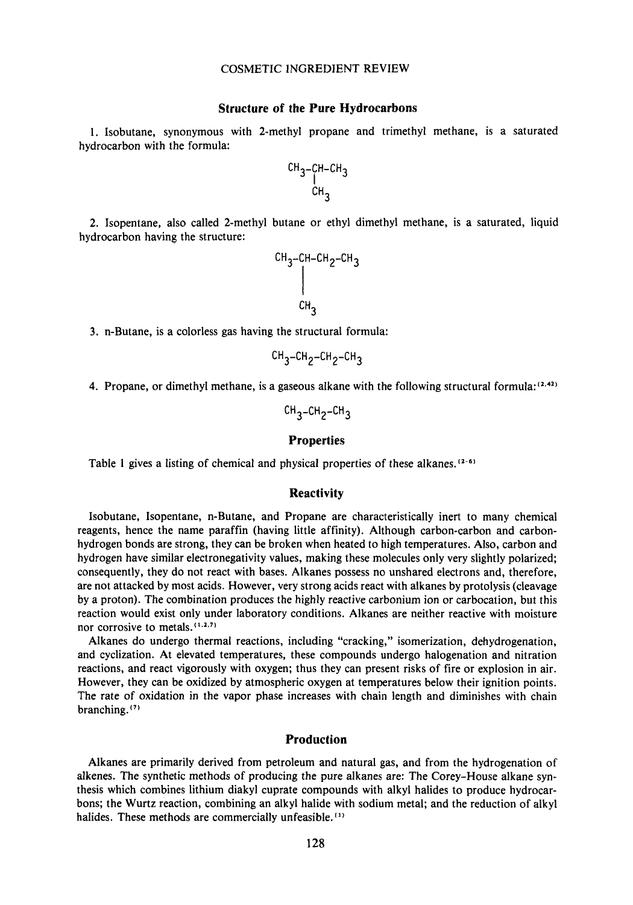# **Structure of the Pure Hydrocarbons**

**1.** Isobutane, synonymous with 2-methyl propane and trimethyl methane, is a saturated hydrocarbon with the formula:

$$
\overset{\text{CH}_3-\text{CH}-\text{CH}_3}{\overset{\text{CH}_3}{\underset{\text{CH}_3}{\hspace{0.25em} \end{array}}}
$$

**2.** Isopentane, also called 2-methyl butane or ethyl dimethyl methane, is a saturated, liquid hydrocarbon having the structure:

$$
\begin{array}{c}\n\text{CH}_{3}-\text{CH}-\text{CH}_{2}-\text{CH}_{3} \\
\downarrow \\
\text{CH}_{3}\n\end{array}
$$

**3.** n-Butane, is a colorless gas having the structural formula:

$$
CH_3-CH_2-CH_2-CH_3
$$

4. Propane, or dimethyl methane, is a gaseous alkane with the following structural formula: $(2.42)$ 

 $CH_3$ -CH<sub>2</sub>-CH<sub>3</sub>

# **Properties**

Table 1 gives a listing of chemical and physical properties of these alkanes.<sup>[2-6]</sup>

## **Reactivity**

Isobutane, Isopentane, n-Butane, and Propane are characteristically inert to many chemical reagents, hence the name paraffin (having little affinity). Although carbon-carbon and carbonhydrogen bonds are strong, they can be broken when heated to high temperatures. Also, carbon and hydrogen have similar electronegativity values, making these molecules only very slightly polarized; consequently, they do not react with bases. Alkanes possess no unshared electrons and, therefore, are not attacked by most acids. However, very strong acids react with alkanes by protolysis (cleavage by a proton). The combination produces the highly reactive carbonium ion or carbocation, but this reaction would exist only under laboratory conditions. Alkanes are neither reactive with moisture nor corrosive to metals.<sup>(1,2,7)</sup>

Alkanes do undergo thermal reactions, including "cracking," isomerization, dehydrogenation, and cyclization. At elevated temperatures, these compounds undergo halogenation and nitration reactions, and react vigorously with oxygen; thus they can present risks of fire or explosion in air. However, they can be oxidized by atmospheric oxygen at temperatures below their ignition points. The rate of oxidation in the vapor phase increases with chain length and diminishes with chain branching. (')

#### **Production**

Alkanes are primarily derived from petroleum and natural gas, and from the hydrogenation of alkenes. The synthetic methods of producing the pure alkanes are: The Corey-House alkane synthesis which combines lithium diakyl cuprate compounds with alkyl halides to produce hydrocarbons; the Wurtz reaction, combining an alkyl halide with sodium metal; and the reduction of alkyl halides. These methods are commercially unfeasible. **11)**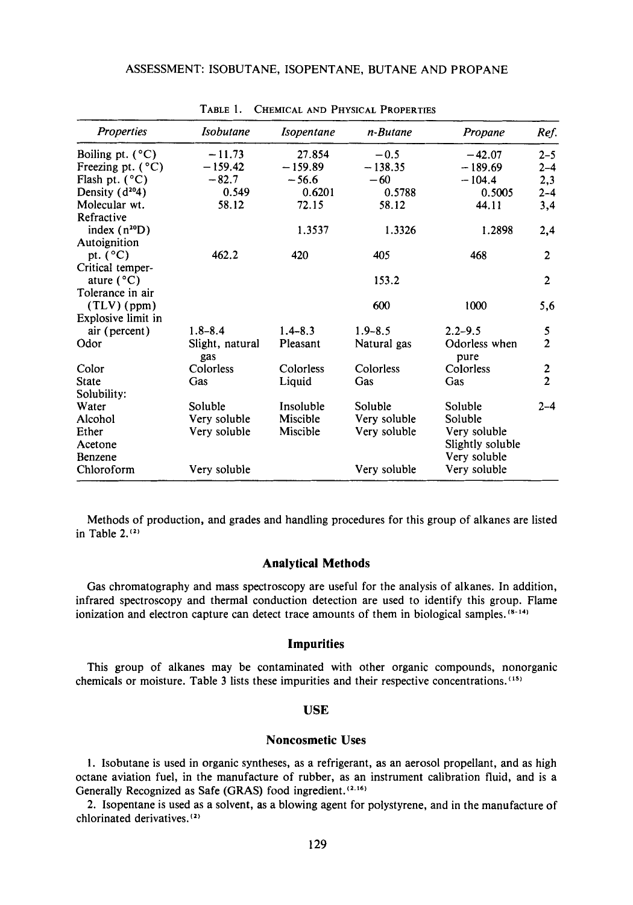| <b>Properties</b>          | <b>Isobutane</b> | <i>Isopentane</i> | n-Butane     | Propane          | Ref.             |
|----------------------------|------------------|-------------------|--------------|------------------|------------------|
| Boiling pt. $(^{\circ}C)$  | $-11.73$         | 27.854            | $-0.5$       | $-42.07$         | $2 - 5$          |
| Freezing pt. $(^{\circ}C)$ | $-159.42$        | $-159.89$         | $-138.35$    | $-189.69$        | $2 - 4$          |
| Flash pt. $(^{\circ}C)$    | $-82.7$          | $-56.6$           | $-60$        | $-104.4$         | 2,3              |
| Density $(d^{20}4)$        | 0.549            | 0.6201            | 0.5788       | 0.5005           | $2 - 4$          |
| Molecular wt.              | 58.12            | 72.15             | 58.12        | 44.11            | 3,4              |
| Refractive                 |                  |                   |              |                  |                  |
| index $(n^{20}D)$          |                  | 1.3537            | 1.3326       | 1.2898           | 2,4              |
| Autoignition               |                  |                   |              |                  |                  |
| pt. $(^{\circ}C)$          | 462.2            | 420               | 405          | 468              | $\overline{c}$   |
| Critical temper-           |                  |                   |              |                  |                  |
| ature $(^{\circ}C)$        |                  |                   | 153.2        |                  | $\overline{2}$   |
| Tolerance in air           |                  |                   |              |                  |                  |
| $(TLV)$ (ppm)              |                  |                   | 600          | 1000             | 5,6              |
| Explosive limit in         |                  |                   |              |                  |                  |
| air (percent)              | $1.8 - 8.4$      | $1.4 - 8.3$       | $1.9 - 8.5$  | $2.2 - 9.5$      | 5                |
| Odor                       | Slight, natural  | Pleasant          | Natural gas  | Odorless when    | $\overline{2}$   |
|                            | gas              |                   |              | pure             |                  |
| Color                      | Colorless        | Colorless         | Colorless    | Colorless        | $\boldsymbol{2}$ |
| State                      | Gas              | Liquid            | Gas          | Gas              | $\overline{2}$   |
| Solubility:                |                  |                   |              |                  |                  |
| Water                      | Soluble          | Insoluble         | Soluble      | Soluble          | $2 - 4$          |
| Alcohol                    | Very soluble     | Miscible          | Very soluble | Soluble          |                  |
| Ether                      | Very soluble     | Miscible          | Very soluble | Very soluble     |                  |
| Acetone                    |                  |                   |              | Slightly soluble |                  |
| Benzene                    |                  |                   |              | Very soluble     |                  |
| Chloroform                 | Very soluble     |                   | Very soluble | Very soluble     |                  |

TABLE 1. CHEMICAL AND PHYSICAL PROPERTIES

Methods of production, and grades and handling procedures for this group of alkanes are listed in Table  $2^{(2)}$ 

#### **Analytical Methods**

Gas chromatography and mass spectroscopy are useful for the analysis of alkanes. In addition, infrared spectroscopy and thermal conduction detection are used to identify this group. Flame ionization and electron capture can detect trace amounts of them in biological samples.<sup>(8-14)</sup>

## **Impurities**

This group of alkanes may be contaminated with other organic compounds, nonorganic chemicals or moisture. Table 3 lists these impurities and their respective concentrations. **(I5)** 

## **USE**

## **Noncosmetic Uses**

1. Isobutane is used in organic syntheses, as a refrigerant, as an aerosol propellant, and as high octane aviation fuel, in the manufacture of rubber, as an instrument calibration fluid, and is a Generally Recognized as Safe (GRAS) food ingredient.<sup>(2,16)</sup>

2. Isopentane is used as a solvent, as a blowing agent for polystyrene, and in the manufacture of chlorinated derivatives. *(I)*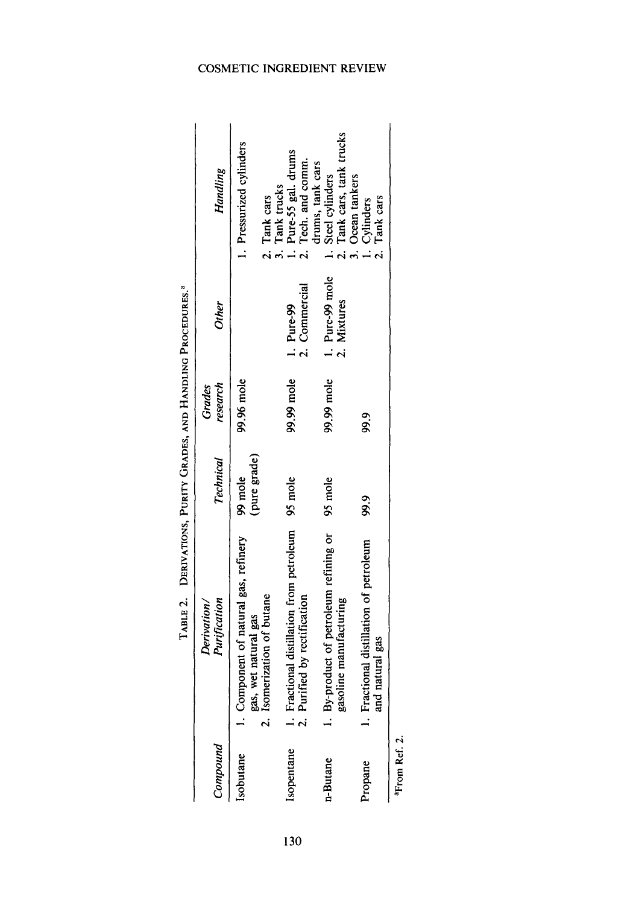| Compound   | Purification<br>Derivation/                                                                 | Technical               | research<br>Grades | <b>Other</b>                   | Handling                                                                      |
|------------|---------------------------------------------------------------------------------------------|-------------------------|--------------------|--------------------------------|-------------------------------------------------------------------------------|
| Isobutane  | 1. Component of natural gas, refinery<br>2. Isomerization of butane<br>gas, wet natural gas | (pure grade)<br>99 mole | 99.96 mole         |                                | . Pressurized cylinders                                                       |
| Isopentane | 1. Fractional distillation from petroleum<br>2. Purified by rectification                   | 95 mole                 | 99.99 mole         | 2. Commercial<br>1. Pure-99    | 2. Tank cars<br>3. Tank trucks<br>1. Pure-55 gal. drums<br>2. Tech. and comm. |
| n-Butane   | 1. By-product of petroleum refining or<br>gasoline manufacturing                            | 95 mole                 | 99.99 mole         | 1. Pure-99 mole<br>2. Mixtures | 2. Tank cars, tank trucks<br>drums, tank cars<br>1. Steel cylinders           |
| Propane    | 1. Fractional distillation of petroleum<br>and natural gas                                  | 99.9                    | 99.9               |                                | 3. Ocean tankers<br>2. Tank cars<br>1. Cylinders                              |

From Ref. 2. **aFrom Ref. 2.** 

 $130$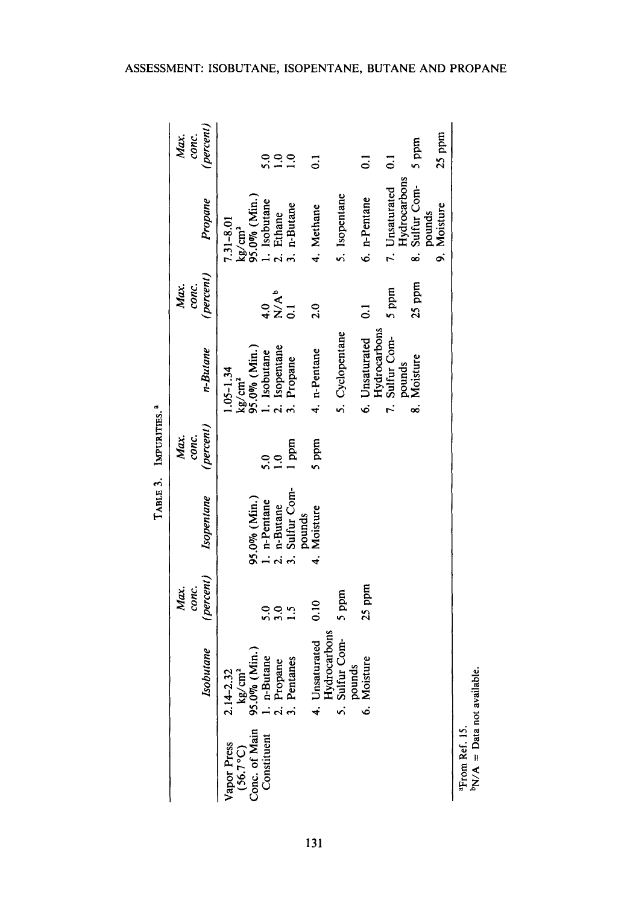<sup>a</sup>From Ref. 15.<br><sup>b</sup>N/A = Data not available. **bN/A** = **Data not avai**

131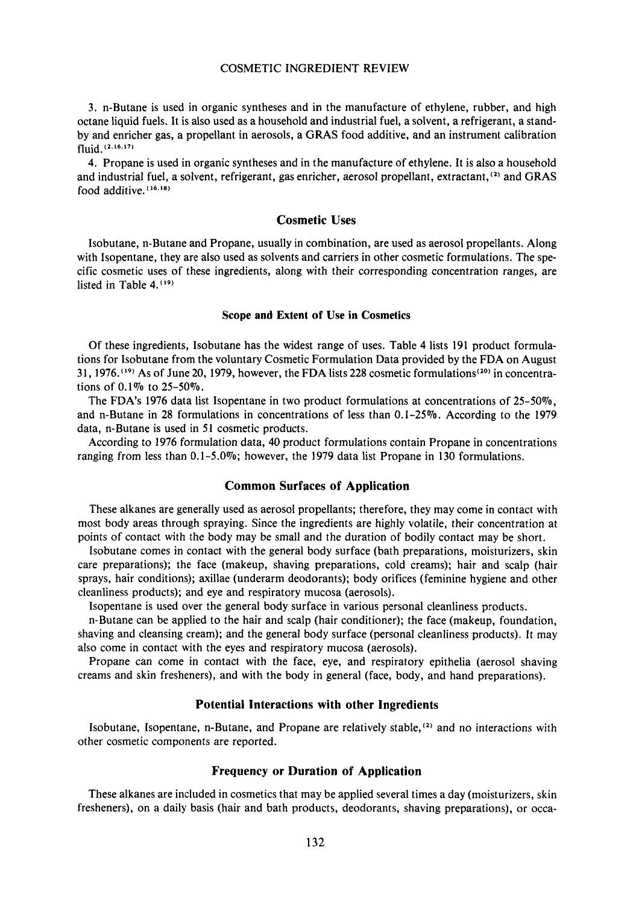**3.** n-Butane is used in organic syntheses and in the manufacture of ethylene, rubber, and high octane liquid fuels. It is also used as a household and industrial fuel, a solvent, a refrigerant, a standby and enricher gas, a propellant in aerosols, a GRAS food additive, and an instrument calibration fluid. **(2.16.171** 

**4.** Propane is used in organic syntheses and in the manufacture of ethylene. It is also a household and industrial fuel, a solvent, refrigerant, gas enricher, aerosol propellant, extractant, $(2)$  and GRAS food additive. **(16.'n)** 

#### **Cosmetic Uses**

Isobutane, n-Butane and Propane, usually in combination, are used as aerosol propellants. Along with Isopentane, they are also used as solvents and carriers in other cosmetic formulations. The specific cosmetic uses of these ingredients, along with their corresponding concentration ranges, are listed in Table 4.<sup>(19)</sup>

## **Scope and Extent of Use in Cosmetics**

Of these ingredients, Isobutane has the widest range of uses. Table **4** lists 191 product formulations for Isobutane from the voluntary Cosmetic Formulation Data provided by the FDA on August 31, 1976.<sup>(19)</sup> As of June 20, 1979, however, the FDA lists 228 cosmetic formulations<sup>(20)</sup> in concentrations of 0.1% to 25-50%.

The FDA's 1976 data list Isopentane in two product formulations at concentrations of  $25-50\%$ , and n-Butane in **28** formulations in concentrations of less than 0.1-259'0. According to the 1979 data, n-Butane is used in **51** cosmetic products.

According to 1976 formulation data, 40 product formulations contain Propane in concentrations ranging from less than 0.1-5.0%; however, the 1979 data list Propane in 130 formulations.

## **Common Surfaces of Application**

These alkanes are generally used as aerosol propellants; therefore, they may come in contact with most body areas through spraying. Since the ingredients are highly volatile, their concentration at points of contact with the body may be small and the duration of bodily contact may be short.

Isobutane comes in contact with the general body surface (bath preparations, moisturizers, skin care preparations); the face (makeup, shaving preparations, cold creams); hair and scalp (hair sprays, hair conditions); axillae (underarm deodorants): body orifices (feminine hygiene and other cleanliness products); and eye and respiratory mucosa (aerosols).

Isopentane is used over the general body surface in various personal cleanliness products.

n-Butane can be applied to the hair and scalp (hair conditioner): the face (makeup, foundation, shaving and cleansing cream); and the general body surface (personal cleanliness products). It may also come in contact with the eyes and respiratory mucosa (aerosols).

Propane can come in contact with the face, eye, and respiratory epithelia (aerosol shaving creams and skin fresheners), and with the body in general (face, body, and hand preparations).

#### **Potential Interactions with other Ingredients**

Isobutane, Isopentane, n-Butane, and Propane are relatively stable, **12)** and no interactions with other cosmetic components are reported.

#### **Frequency or Duration of Application**

These alkanes are included in cosmetics that may be applied several times a day (moisturizers, skin fresheners), on a daily basis (hair and bath products, deodorants, shaving preparations), or occa-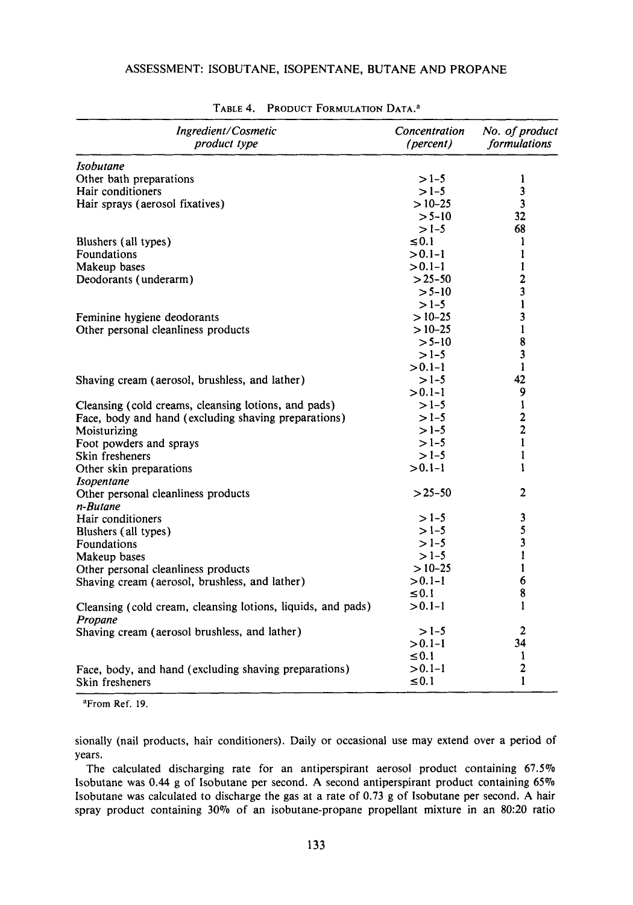# ASSESSMENT: ISOBUTANE, ISOPENTANE, BUTANE AND PROPANE

| Ingredient/Cosmetic<br>product type                                     | Concentration<br>(percent) | No. of product<br>formulations |
|-------------------------------------------------------------------------|----------------------------|--------------------------------|
| Isobutane                                                               |                            |                                |
| Other bath preparations                                                 | $>1-5$                     | 1                              |
| Hair conditioners                                                       | $>1-5$                     | 3                              |
| Hair sprays (aerosol fixatives)                                         | $>10-25$                   | 3                              |
|                                                                         | $> 5 - 10$                 | 32                             |
|                                                                         | $>1-5$                     | 68                             |
| Blushers (all types)                                                    | $\leq 0.1$                 | 1                              |
| Foundations                                                             | $> 0.1 - 1$                | 1                              |
| Makeup bases                                                            | $> 0.1 - 1$                | 1                              |
| Deodorants (underarm)                                                   | $> 25 - 50$                | $\overline{\mathbf{c}}$        |
|                                                                         | $> 5 - 10$                 | 3                              |
|                                                                         | $>1-5$                     | $\mathbf{I}$                   |
| Feminine hygiene deodorants                                             | $>10-25$                   | 3                              |
| Other personal cleanliness products                                     | $>10-25$                   | $\mathbf{1}$                   |
|                                                                         | $> 5 - 10$                 | 8                              |
|                                                                         | $>1-5$                     | 3                              |
|                                                                         | $> 0.1 - 1$                | $\mathbf{1}$                   |
| Shaving cream (aerosol, brushless, and lather)                          | $>1-5$                     | 42                             |
|                                                                         | $> 0.1 - 1$                | 9                              |
| Cleansing (cold creams, cleansing lotions, and pads)                    | $>1-5$                     | $\mathbf{1}$                   |
| Face, body and hand (excluding shaving preparations)                    | $>1-5$                     | $\mathbf{2}$                   |
| Moisturizing                                                            | $>1-5$                     | $\overline{2}$                 |
| Foot powders and sprays                                                 | $>1-5$                     | 1                              |
| Skin fresheners                                                         | $>1-5$                     | 1                              |
| Other skin preparations                                                 | $> 0.1 - 1$                | 1                              |
| <b>Isopentane</b>                                                       |                            |                                |
| Other personal cleanliness products                                     | $> 25 - 50$                | 2                              |
| n-Butane                                                                |                            |                                |
| Hair conditioners                                                       | $>1-5$                     | 3                              |
| Blushers (all types)                                                    | $>1-5$                     | 5                              |
| Foundations                                                             | $>1-5$                     | 3                              |
| Makeup bases                                                            | $>1-5$                     | 1                              |
| Other personal cleanliness products                                     | $>10-25$                   | 1                              |
| Shaving cream (aerosol, brushless, and lather)                          | $> 0.1 - 1$                | 6                              |
|                                                                         | $\leq 0.1$                 | 8                              |
| Cleansing (cold cream, cleansing lotions, liquids, and pads)<br>Propane | $> 0.1 - 1$                | 1                              |
| Shaving cream (aerosol brushless, and lather)                           | $>1-5$                     | $\overline{\mathbf{c}}$        |
|                                                                         | $> 0.1 - 1$                | 34                             |
|                                                                         | $\leq 0.1$                 | 1                              |
| Face, body, and hand (excluding shaving preparations)                   | $> 0.1 - 1$                | 2                              |
| Skin fresheners                                                         | $\leq 0.1$                 | 1                              |

# TABLE 4. PRODUCT FORMULATION DATA.<sup>a</sup>

**aFrom Ref. 19.** 

sionally (nail products, hair conditioners). Daily or occasional use may extend over a period of years.

The calculated discharging rate for an antiperspirant aerosol product containing  $67.5\%$ Isobutane was 0.44 g of Isobutane per second. A second antiperspirant product containing 65% Isobutane was calculated to discharge the gas at a rate of 0.73 g of Isobutane per second. A hair spray product containing **30%** of an isobutane-propane propellant mixture in an **80:20** ratio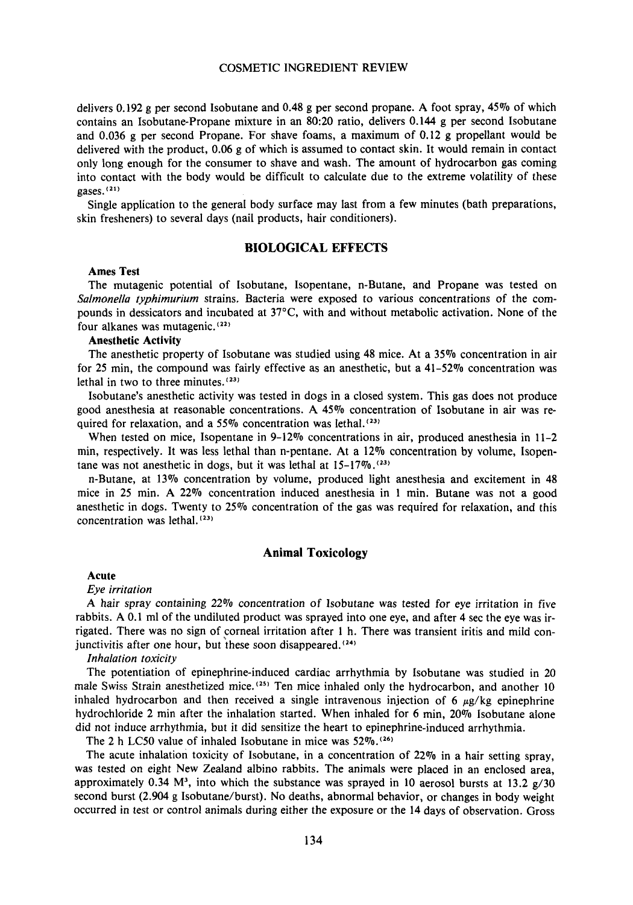delivers 0.192 g per second Isobutane and 0.48 g per second propane. A foot spray, 45% of which contains an Isobutane-Propane mixture in an 80:20 ratio, delivers 0.144 g per second Isobutane and 0.036 g per second Propane. For shave foams, a maximum of 0.12 g propellant would be delivered with the product, 0.06 g of which is assumed to contact skin. It would remain in contact only long enough for the consumer to shave and wash. The amount of hydrocarbon gas coming into contact with the body would be difficult to calculate due to the extreme volatility of these gases.(21)

Single application to the general body surface may last from a few minutes (bath preparations, skin fresheners) to several days (nail products, hair conditioners).

## **BIOLOGICAL EFFECTS**

## **Ames Test**

The mutagenic potential of Isobutane, Isopentane, n-Butane, and Propane was tested on *Salmonella typhimurium* strains. Bacteria were exposed to various concentrations of the compounds in dessicators and incubated at  $37^{\circ}$ C, with and without metabolic activation. None of the four alkanes was mutagenic.(22)

#### **Anesthetic Activity**

The anesthetic property of Isobutane was studied using **48** mice. At a 35% concentration in air for 25 min, the compound was fairly effective as an anesthetic, but a  $41-52\%$  concentration was lethal in two to three minutes.<sup>(23)</sup>

Isobutane's anesthetic activity was tested in dogs in a closed system. This gas does not produce good anesthesia at reasonable concentrations. A 45% concentration of Isobutane in air was required for relaxation, and a 55% concentration was lethal. $(23)$ 

When tested on mice, Isopentane in 9-12% concentrations in air, produced anesthesia in 11-2 min, respectively. It was less lethal than n-pentane. At a 12% concentration by volume, Isopentane was not anesthetic in dogs, but it was lethal at 15-17%.(23'

n-Butane, at 13% concentration by volume, produced light anesthesia and excitement in 48 mice in 25 min. A 22% concentration induced anesthesia in 1 min. Butane was not a good anesthetic in dogs. Twenty to 25% concentration of the gas was required for relaxation, and this concentration was lethal.<sup>(23)</sup>

## **Animal Toxicology**

## **Acute**

*Eye irritation* 

*A* hair spray containing 22% concentration of Isobutane was tested for eye irritation in five rabbits. A 0.1 ml of the undiluted product was sprayed into one eye, and after 4 sec the eye was irrigated. There was no sign of corneal irritation after 1 h. There was transient iritis and mild conjunctivitis after one hour, but these soon disappeared.<sup> $(24)$ </sup>

*Inhalation toxicity* 

The potentiation of epinephrine-induced cardiac arrhythmia by Isobutane **was** studied in 20 male Swiss Strain anesthetized mice.<sup>(25)</sup> Ten mice inhaled only the hydrocarbon, and another 10 inhaled hydrocarbon and then received a single intravenous injection of 6  $\mu$ g/kg epinephrine hydrochloride 2 min after the inhalation started. When inhaled for 6 min, 20% Isobutane alone did not induce arrhythmia, but it did sensitize the heart to epinephrine-induced arrhythmia.

The 2 h LC50 value of inhaled Isobutane in mice was  $52\%$ .<sup>(26)</sup>

The acute inhalation toxicity of Isobutane, in a concentration of 22% in a hair setting spray, was tested on eight New Zealand albino rabbits. The animals were placed in an enclosed area, approximately 0.34  $M<sup>3</sup>$ , into which the substance was sprayed in 10 aerosol bursts at 13.2  $g/30$ second burst (2.904 g Isobutane/burst). No deaths, abnormal behavior, or changes in body weight occurred in test or control animals during either the exposure or the 14 days of observation. Gross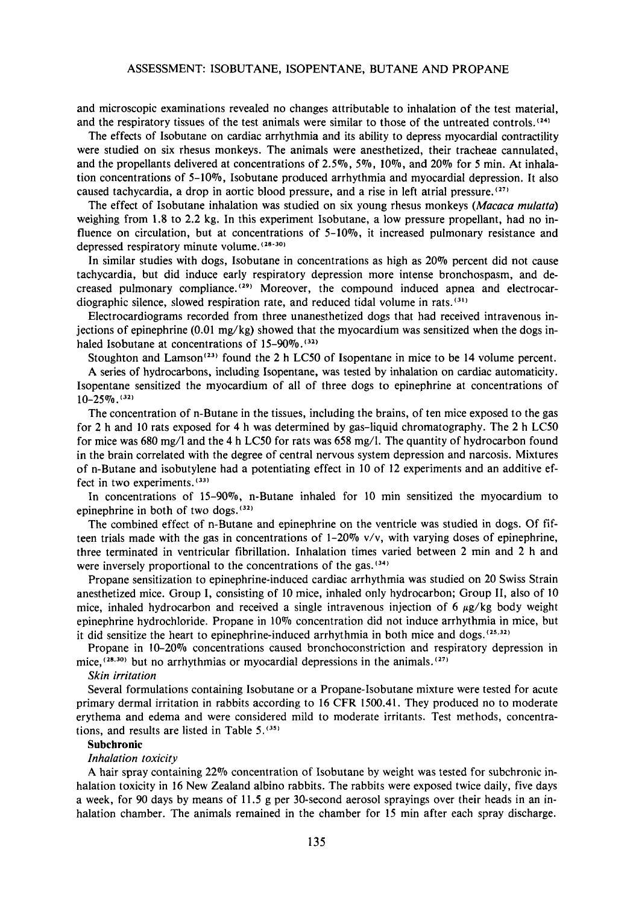and microscopic examinations revealed no changes attributable to inhalation of the test material, and the respiratory tissues of the test animals were similar to those of the untreated controls.<sup>(24)</sup>

The effects of Isobutane on cardiac arrhythmia and its ability to depress myocardial contractility were studied on six rhesus monkeys. The animals were anesthetized, their tracheae cannulated, and the propellants delivered at concentrations of **2.5%,** *5%,* **lo%,** and **20%** for **5** min. At inhalation concentrations of 5-10%, Isobutane produced arrhythmia and myocardial depression. It also caused tachycardia, a drop in aortic blood pressure, and a rise in left atrial pressure.<sup>(27)</sup>

The effect of Isobutane inhalation was studied on six young rhesus monkeys *(Macaca mulatta)*  weighing from 1.8 to **2.2** kg. In this experiment Isobutane, a low pressure propellant, had no influence on circulation, but at concentrations of 5-10%, it increased pulmonary resistance and depressed respiratory minute volume. **(28-30)** 

In similar studies with dogs, Isobutane in concentrations as high as **20%** percent did not cause tachycardia, but did induce early respiratory depression more intense bronchospasm, and decreased pulmonary compliance.  $(29)$  Moreover, the compound induced apnea and electrocardiographic silence, slowed respiration rate, and reduced tidal volume in rats.

Electrocardiograms recorded from three unanesthetized dogs that had received intravenous injections of epinephrine (0.01 mg/kg) showed that the myocardium was sensitized when the dogs inhaled Isobutane at concentrations of  $15-90\%$ .<sup>(32)</sup>

Stoughton and Lamson<sup>(23)</sup> found the 2 h LC50 of Isopentane in mice to be 14 volume percent.

A series of hydrocarbons, including Isopentane, was tested by inhalation on cardiac automaticity. Isopentane sensitized the myocardium of all of three dogs to epinephrine at concentrations of  $10-25\%$ .  $(32)$ 

The concentration of n-Butane in the tissues, including the brains, of ten mice exposed to the gas for **2** h and **10** rats exposed for **4** h was determined by gas-liquid chromatography. The **2** h **LCSO**  for mice was 680 mg/l and the **4** h LC50 for rats was 658 mg/l. The quantity of hydrocarbon found in the brain correlated with the degree of central nervous system depression and narcosis. Mixtures of n-Butane and isobutylene had a potentiating effect in 10 of **12** experiments and an additive effect in two experiments. **(33)** 

In concentrations of **15-90%,** n-Butane inhaled for 10 min sensitized the myocardium to epinephrine in both of two dogs.<sup>(32)</sup>

The combined effect of n-Butane and epinephrine on the ventricle was studied in dogs. Of fifteen trials made with the gas in concentrations of **1-20%** v/v, with varying doses of epinephrine, three terminated in ventricular fibrillation. Inhalation times varied between **2** min and **2** h and were inversely proportional to the concentrations of the gas. **(34)** 

Propane sensitization to epinephrine-induced cardiac arrhythmia was studied on **20** Swiss Strain anesthetized mice. Group **I,** consisting of 10 mice, inhaled only hydrocarbon; Group **11,** also of 10 mice, inhaled hydrocarbon and received a single intravenous injection of 6  $\mu$ g/kg body weight epinephrine hydrochloride. Propane in 10% concentration did not induce arrhythmia in mice, but it did sensitize the heart to epinephrine-induced arrhythmia in both mice and dogs.  $^{(25,32)}$ 

Propane in **10-20%** concentrations caused bronchoconstriction and respiratory depression in mice, **(28.30)** but no arrhythmias or myocardial depressions in the animals. **(27)** 

#### *Skin irritation*

Several formulations containing Isobutane or a Propane-Isobutane mixture were tested for acute primary dermal irritation in rabbits according to 16 CFR 1500.41. They produced no to moderate erythema and edema and were considered mild to moderate irritants. Test methods, concentrations, and results are listed in Table **5.(351** 

#### **Subchronic**

#### *Inhalation toxicity*

**A** hair spray containing **22%** concentration of Isobutane by weight was tested for subchronic inhalation toxicity in 16 New Zealand albino rabbits. The rabbits were exposed twice daily, five days a week, for 90 days by means **of** 11.5 g per 30-second aerosol sprayings over their heads in an inhalation chamber. The animals remained in the chamber for 15 min after each spray discharge.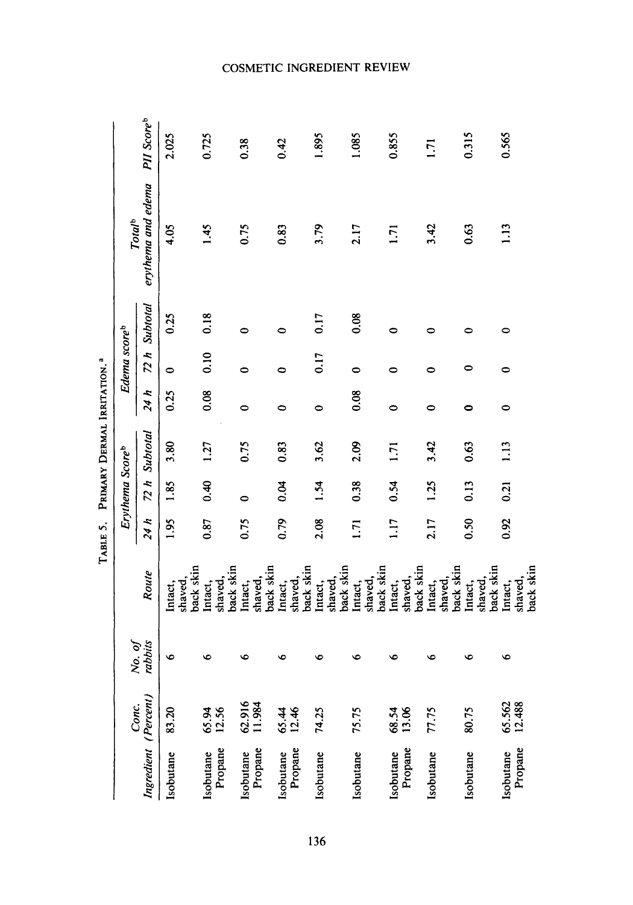|                      |                  |         |                      | TABLE 5.       |                 | PRIMARY DERMAL IRRITATION. <sup>4</sup> |      |                          |           |                    |                        |
|----------------------|------------------|---------|----------------------|----------------|-----------------|-----------------------------------------|------|--------------------------|-----------|--------------------|------------------------|
|                      | Conc.            | No. of  |                      |                | Erythema Scoreb |                                         |      | Edema score <sup>b</sup> |           | Total <sup>b</sup> |                        |
| Ingredient (Percent) |                  | rabbits | Route                | 24 h           | 72 h            | Subtotal                                | 24 h | 72 h                     | Subtotal  | erythema and edema | PII Score <sup>b</sup> |
| Isobutane            | 83.20            | ७       | shaved,<br>Intact,   | $\frac{5}{2}$  | 1.85            | 3.80                                    | 0.25 | 0                        | 0.25      | 4.05               | 2.025                  |
|                      |                  |         | back skin            |                |                 |                                         |      |                          |           |                    |                        |
| Isobutane            | 65.94<br>12.56   | ١o      | Intact,              | 0.87           | 0.40            | 1.27                                    | 0.08 | 0.10                     | 0.18      | 1.45               | 0.725                  |
| Propane              |                  |         | back skin<br>shaved, |                |                 |                                         |      |                          |           |                    |                        |
| Isobutane            | 62.916<br>11.984 | ৩       | Intact,              | 0.75           | 0               | 0.75                                    | 0    | 0                        | 0         | 0.75               | 0.38                   |
| Propane              |                  |         | back skin<br>shaved, |                |                 |                                         |      |                          |           |                    |                        |
| Isobutane            | 65.44<br>12.46   | G       | Intact,              | 0.79           | 0.04            | 0.83                                    | ۰    | 0                        | $\bullet$ | 0.83               | 0.42                   |
| Propane              |                  |         | back skin<br>shaved, |                |                 |                                         |      |                          |           |                    |                        |
|                      |                  |         |                      |                |                 |                                         |      |                          |           |                    |                        |
| Isobutane            | 74.25            | c       | Intact,              | 2.08           | 1.54            | 3.62                                    | 0    | 0.17                     | 0.17      | 3.79               | 1.895                  |
|                      |                  |         | back skin<br>shaved, |                |                 |                                         |      |                          |           |                    |                        |
|                      |                  |         |                      |                |                 |                                         |      |                          |           |                    |                        |
| Isobutane            | 75.75            | c       | shaved,<br>Intact,   | $\overline{1}$ | 0.38            | 2.09                                    | 0.08 | 0                        | 0.08      | 2.17               | 1.085                  |
|                      |                  |         | back skin            |                |                 |                                         |      |                          |           |                    |                        |
| Isobutane            | 68.54<br>13.06   | o       | Intact,              | 117            | 0.54            | 1.71                                    | 0    | 0                        | 0         | 1.71               | 0.855                  |
| Propane              |                  |         | back skin<br>shaved, |                |                 |                                         |      |                          |           |                    |                        |
| Isobutane            | 77.75            | G       | Intact,              | 2.17           | 1.25            | 3.42                                    | 0    | 0                        | 0         | 3.42               | $\overline{1}$         |
|                      |                  |         | shaved,              |                |                 |                                         |      |                          |           |                    |                        |
|                      |                  |         | back skin            |                |                 |                                         |      |                          |           |                    |                        |
| Isobutane            | 80.75            | ١c      | Intact,              | 0.50           | 0.13            | 0.63                                    | 0    | 0                        | 0         | 0.63               | 0.315                  |
|                      |                  |         | shaved,              |                |                 |                                         |      |                          |           |                    |                        |
|                      |                  |         | back skin            |                |                 |                                         |      |                          |           |                    |                        |
| Isobutane            | 65.562<br>12.488 | ١o      | Intact,              | 0.92           | 0.21            | 1.13                                    | 0    | 0                        | 0         | 1.13               | 0.565                  |
| Propane              |                  |         | back skin<br>shaved, |                |                 |                                         |      |                          |           |                    |                        |
|                      |                  |         |                      |                |                 |                                         |      |                          |           |                    |                        |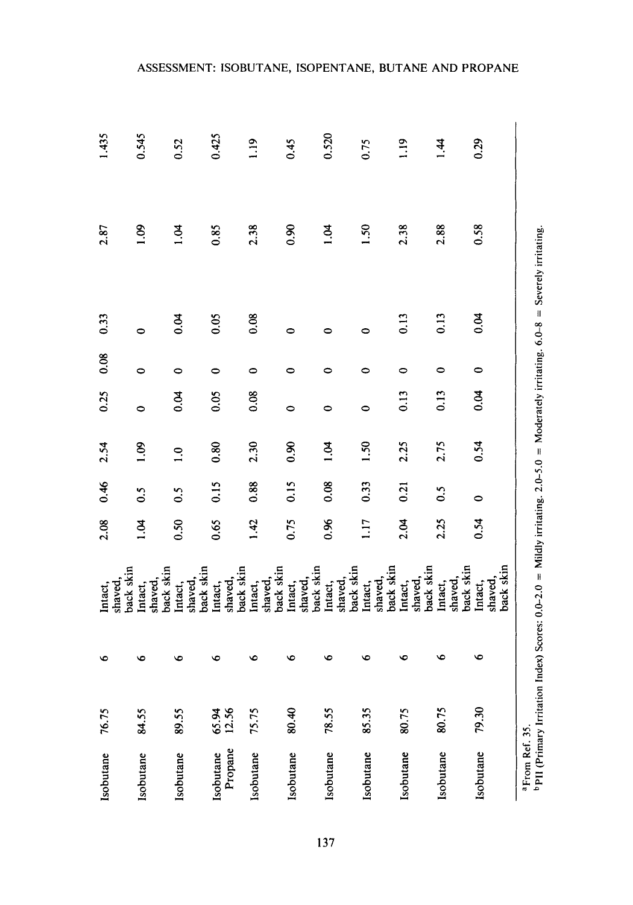|                                 |                                 |                                 |                                 |                                 |                                 |                                 |                                 |                                 |                                 | ASSESSMENT: ISOBUTANE, ISOPENTANE, BUTANE AND PROPANE |
|---------------------------------|---------------------------------|---------------------------------|---------------------------------|---------------------------------|---------------------------------|---------------------------------|---------------------------------|---------------------------------|---------------------------------|-------------------------------------------------------|
| 1.435                           | 0.545                           | 0.52                            | 0.425                           | 1.19                            | 6.45                            | 0.520                           | 0.75                            | $\frac{1}{2}$                   | $\overline{14}$                 | 0.29                                                  |
| 2.87                            | 001                             | 1.04                            | 0.85                            | 2.38                            | 0.90                            | 1.04                            | 1.50                            | 2.38                            | 2.88                            | 0.58                                                  |
| 0.33                            | $\bullet$                       | 6.04                            | 0.05                            | 0.08                            | 0                               | 0                               | 0                               | 0.13                            | 0.13                            | 0.04                                                  |
| 0.08                            | 0                               | 0                               | 0                               | 0                               | 0                               | 0                               | 0                               | 0                               | 0                               | $\bullet$                                             |
| 0.25                            | $\bullet$                       | 0.04                            | 0.05                            | 0.08                            | $\bullet$                       | $\bullet$                       | $\bullet$                       | 0.13                            | 0.13                            | 0.04                                                  |
| 2.54                            | 90.1                            | $\overline{1.0}$                | 0.80                            | 2.30                            | 0.90                            | $\vec{B}$                       | 1.50                            | 2.25                            | 2.75                            | 0.54                                                  |
| 0.46                            | 0.5                             | 0.5                             | 0.15                            | 0.88                            | 0.15                            | 0.08                            | 0.33                            | 0.21                            | 0.5                             | $\bullet$                                             |
| 2.08                            | 1.04                            | 0.50                            | 0.65                            | 1.42                            | 0.75                            | 0.96                            | 1.17                            | 2.04                            | 2.25                            | 0.54                                                  |
| back skin<br>shaved,<br>Intact, | back skin<br>shaved.<br>Intact, | back skin<br>shaved,<br>Intact, | back skin<br>shaved,<br>Intact, | back skin<br>shaved,<br>Intact, | back skin<br>shaved,<br>Intact, | back skin<br>shaved,<br>Intact, | back skin<br>shaved,<br>Intact, | back skin<br>shaved,<br>Intact, | back skin<br>shaved,<br>Intact, | oack skin<br>shaved,<br>Intact,                       |
| $\bullet$                       | $\bullet$                       | $\bullet$                       | ৩                               | v                               | ৩                               | ৽                               | ৽                               | ৩                               | $\bullet$                       | ৩                                                     |
| 76.75                           | 84.55                           | 89.55                           | 65.94<br>12.56                  | 75.75                           | 80.40                           | 78.55                           | 85.35                           | 80.75                           | 80.75                           | 79.30                                                 |
| Isobutane                       | Isobutane                       | Isobutane                       | Propane<br>Isobutane            | Isobutane                       | Isobutane                       | Isobutane                       | Isobutane                       | Isobutane                       | Isobutane                       | Isobutane                                             |
|                                 |                                 |                                 |                                 |                                 |                                 | 137                             |                                 |                                 |                                 |                                                       |

ASSESSMENT: ISOBUTANE, ISOPENTANE, BUTANE AND PROPANE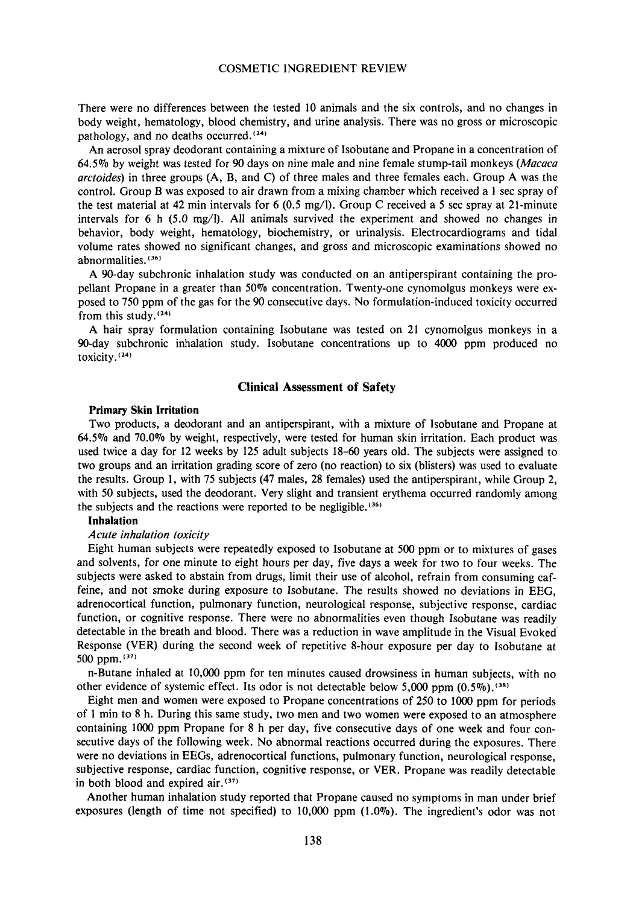There were no differences between the tested 10 animals and the six controls, and no changes in body weight, hematology, blood chemistry, and urine analysis. There was no gross or microscopic pathology, and no deaths occurred. $(24)$ 

An aerosol spray deodorant containing a mixture of Isobutane and Propane in a concentration of 64.5% by weight was tested for 90 days on nine male and nine female stump-tail monkeys *(Maraca arctoides)* in three groups (A, B, and C) of three males and three females each. Group A was the control. Group B was exposed to air drawn from a mixing chamber which received a **1** sec spray of the test material at 42 min intervals for 6 (0.5 mg/l). Group C received a *5* sec spray at 21-minute intervals for 6 h (5.0 mg/l). All animals survived the experiment and showed no changes in behavior, body weight, hematology, biochemistry, or urinalysis. Electrocardiograms and tidal volume rates showed no significant changes, and gross and microscopic examinations showed no abnormalities. **(36)** 

A 90-day subchronic inhalation study was conducted on an antiperspirant containing the propellant Propane in a greater than 50% concentration. Twenty-one cynomolgus monkeys were exposed to 750 ppm of the gas for the 90 consecutive days. No formulation-induced toxicity occurred from this study.<sup>(24)</sup>

**A** hair spray formulation containing Isobutane was tested on 21 cynomolgus monkeys in a %-day subchronic inhalation study. Isobutane concentrations up to 4000 ppm produced no toxicity.<sup>(24)</sup>

#### **Clinical Assessment of Safety**

#### **Primary Skin Irritation**

Two products, a deodorant and an antiperspirant, with a mixture of Isobutane and Propane at *64.5%* and **70.0%** by weight, respectively, were tested for human skin irritation. Each product was used twice a day for 12 weeks by **125** adult subjects 18-60 years old. The subjects were assigned to two groups and an irritation grading score of zero (no reaction) to six (blisters) was used to evaluate the results. Group **1,** with **75** subjects (47 males, 28 females) used the antiperspirant, while Group 2, with 50 subjects, used the deodorant. Very slight and transient erythema occurred randomly among the subjects and the reactions were reported to be negligible.<sup>(36)</sup>

## **Inhalation**

#### *Acute inhalation toxicity*

Eight human subjects were repeatedly exposed to Isobutane at 500 ppm or to mixtures of gases and solvents, for one minute to eight hours per day, five days a week for two to four weeks. The subjects were asked to abstain from drugs, limit their use of alcohol, refrain from consuming caffeine, and not smoke during exposure to Isobutane. The results showed no deviations in EEG, adrenocortical function, pulmonary function, neurological response, subjective response, cardiac function, or cognitive response. There were no abnormalities even though Isobutane was readily detectable in the breath and blood. There was a reduction in wave amplitude in the Visual Evoked' Response (VER) during the second week of repetitive 8-hour exposure per day to Isobutane at 500 ppm. $(37)$ 

n-Butane inhaled at 10,OOO ppm for ten minutes caused drowsiness in human subjects, with no other evidence of systemic effect. Its odor is not detectable below 5,000 ppm **(0.5%).(38)** 

Eight men and women were exposed to Propane concentrations of 250 to 1000 ppm for periods of I min to **8** h. During this same study, two men and two women were exposed to an atmosphere containing 1000 ppm Propane for **8** h per day, five consecutive days of one week and four consecutive days of the following week. No abnormal reactions occurred during the exposures. There were no deviations in EEGs, adrenocortical functions, pulmonary function, neurological response, subjective response, cardiac function, cognitive response, or VER. Propane was readily detectable in both blood and expired air. $(37)$ 

Another human inhalation study reported that Propane caused no symptoms in man under brief exposures (length of time not specified) to 10,000 ppm **(1.070).** The ingredient's odor was not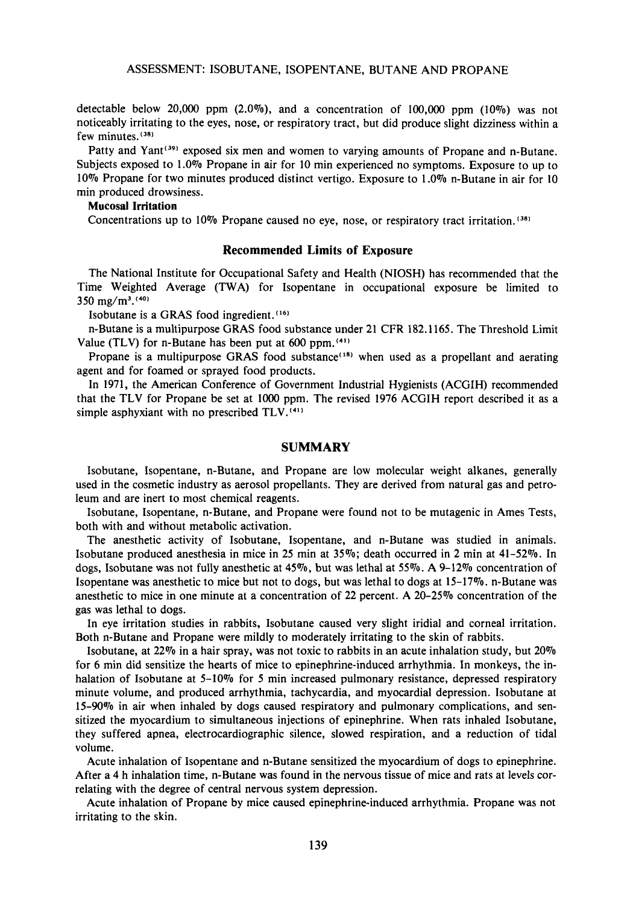detectable below 20,000 ppm  $(2.0\%)$ , and a concentration of 100,000 ppm  $(10\%)$  was not noticeably irritating to the eyes, nose, or respiratory tract, but did produce slight dizziness within a few minutes.<sup>(38)</sup>

Patty and Yant<sup>(39)</sup> exposed six men and women to varying amounts of Propane and n-Butane. Subjects exposed to 1.0% Propane in air for 10 min experienced no symptoms. Exposure to up to 10% Propane for two minutes produced distinct vertigo. Exposure to 1.0% n-Butane in air for 10 min produced drowsiness.

# **Mucosal Irritation**

Concentrations up to 10% Propane caused no eye, nose, or respiratory tract irritation. **(381** 

#### **Recommended Limits of Exposure**

The National Institute for Occupational Safety and Health (NIOSH) has recommended that the Time Weighted Average (TWA) for Isopentane in occupational exposure be limited to  $350 \text{ mg/m}^3$ . (40)

Isobutane is a GRAS food ingredient.<sup>(16)</sup>

n-Butane is a multipurpose GRAS food substance under 21 CFR 182.1165. The Threshold Limit Value (TLV) for n-Butane has been put at  $600$  ppm.<sup> $(41)$ </sup>

Propane is a multipurpose GRAS food substance<sup>(18)</sup> when used as a propellant and aerating agent and for foamed or sprayed food products.

In 1971, the American Conference of Government Industrial Hygienists (ACGIH) recommended that the TLV for Propane be set at 1000 ppm. The revised 1976 ACGIH report described it as a simple asphyxiant with no prescribed TLV. **(411** 

#### **SUMMARY**

Isobutane, Isopentane, n-Butane, and Propane are low molecular weight alkanes, generally used in the cosmetic industry as aerosol propellants. They are derived from natural gas and petroleum and are inert to most chemical reagents.

Isobutane, Isopentane, n-Butane, and Propane were found not to be mutagenic in Ames Tests, both with and without metabolic activation.

The anesthetic activity of Isobutane, Isopentane, and n-Butane was studied in animals. Isobutane produced anesthesia in mice in 25 min at 35%; death occurred in 2 min at 41-52%. In dogs, Isobutane was not fully anesthetic at **45%,** but was lethal at **55%. A** 9-12% concentration of Isopentane was anesthetic to mice but not to dogs, but was lethal to dogs at 15-17%. n-Butane was anesthetic to mice in one minute at a concentration of 22 percent. A 20-25% concentration of the gas was lethal to dogs.

In eye irritation studies in rabbits, Isobutane caused very slight iridial and corneal irritation. Both n-Butane and Propane were mildly to moderately irritating to the skin of rabbits.

Isobutane, at 22% in a hair spray, was not toxic to rabbits in an acute inhalation study, but 20% for 6 min did sensitize the hearts of mice to epinephrine-induced arrhythmia. In monkeys, the inhalation of Isobutane at 5-10% for 5 min increased pulmonary resistance, depressed respiratory minute volume, and produced arrhythmia, tachycardia, and myocardial depression. Isobutane at **15-90Vo** in air when inhaled by dogs caused respiratory and pulmonary complications, and sensitized the myocardium to simultaneous injections of epinephrine. When rats inhaled Isobutane, they suffered apnea, electrocardiographic silence, slowed respiration, and a reduction of tidal volume.

Acute inhalation of Isopentane and n-Butane sensitized the myocardium of dogs to epinephrine. After a **4** h inhalation time, n-Butane was found in the nervous tissue of mice and rats at levels correlating with the degree of central nervous system depression.

Acute inhalation of Propane by mice caused epinephrine-induced arrhythmia. Propane was not irritating to the skin.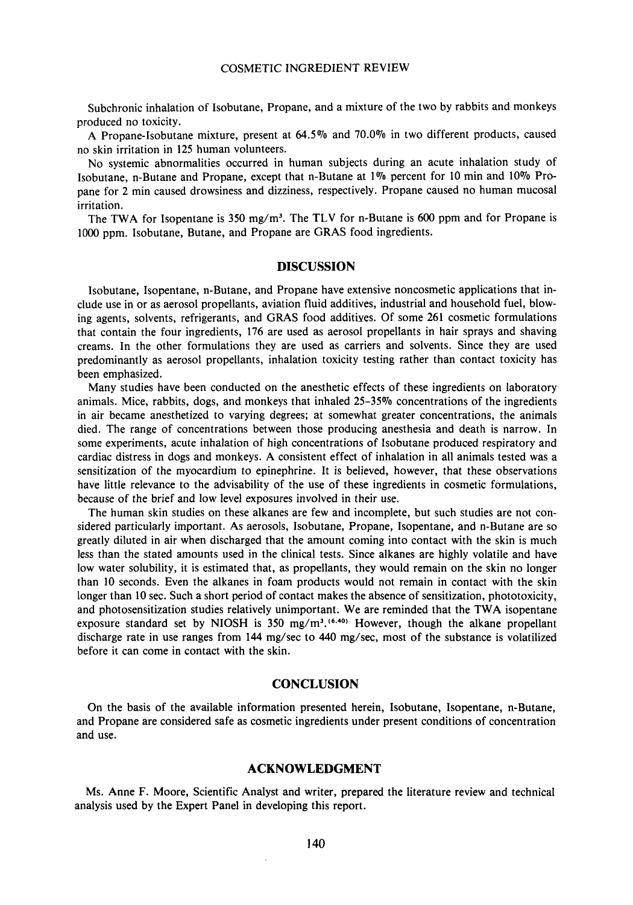Subchronic inhalation of Isobutane, Propane, and a mixture of the two by rabbits and monkeys produced no toxicity.

A Propane-Isobutane mixture, present at *64.5%* and 70.0% in two different products, caused no skin irritation in 125 human volunteers.

No systemic abnormalities occurred in human subjects during an acute inhalation study of Isobutane, n-Butane and Propane, except that n-Butane at 1% percent for 10 min and 10% Propane for 2 min caused drowsiness and dizziness, respectively. Propane caused no human mucosal irritation.

The TWA for Isopentane is 350 mg/m<sup>3</sup>. The TLV for n-Butane is 600 ppm and for Propane is 1000 ppm. Isobutane, Butane, and Propane are GRAS food ingredients.

# **DISCUSSION**

Isobutane, Isopentane, n-Butane, and Propane have extensive noncosmetic applications that include use in or as aerosol propellants, aviation fluid additives, industrial and household fuel, blowing agents, solvents, refrigerants, and GRAS food additives. Of some 261 cosmetic formulations that contain the four ingredients, 176 are used as aerosol propellants in hair sprays and shaving creams. In the other formulations they are used as carriers and solvents. Since they are used predominantly as aerosol propellants, inhalation toxicity testing rather than contact toxicity has been emphasized.

Many studies have been conducted on the anesthetic effects of these ingredients on laboratory animals. Mice, rabbits, dogs, and monkeys that inhaled 25-35% concentrations of the ingredients in air became anesthetized to varying degrees; at somewhat greater concentrations, the animals died. The range of concentrations between those producing anesthesia and death is narrow. In some experiments, acute inhalation of high concentrations of Isobutane produced respiratory and cardiac distress in dogs and monkeys. A consistent effect of inhalation in all animals tested was a sensitization of the myocardium to epinephrine. It is believed, however, that these observations have little relevance to the advisability of the use of these ingredients in cosmetic formulations, because of the brief and low level exposures involved in their use.

The human skin studies on these alkanes are few and incomplete, but such studies are not considered particularly important. **As** aerosols, Isobutane, Propane, Isopentane, and n-Butane are so greatly diluted in air when discharged that the amount coming into contact with the skin is much less than the stated amounts used in the clinical tests. Since alkanes are highly volatile and have low water solubility, it is estimated that, as propellants, they would remain on the skin no longer than 10 seconds. Even the alkanes in foam products would not remain in contact with the skin longer than 10 sec. Such a short period of contact makes the absence of sensitization, phototoxicity, and photosensitization studies relatively unimportant. We are reminded that the TWA isopentane exposure standard set by NIOSH is 350 mg/m<sup>3</sup>.<sup>(6,40)</sup> However, though the alkane propellant discharge rate in use ranges from **144** mg/sec to 440 mg/sec, most of the substance is volatilized before it can come in contact with the skin.

## **CONCLUSION**

On the basis of the available information presented herein, Isobutane, Isopentane, n-Butane, and Propane are considered safe as cosmetic ingredients under present conditions of concentration and use.

## **ACKNOWLEDGMENT**

Ms. Anne F. Moore, Scientific Analyst and writer, prepared the literature review and technical analysis used by the Expert Panel in developing this report.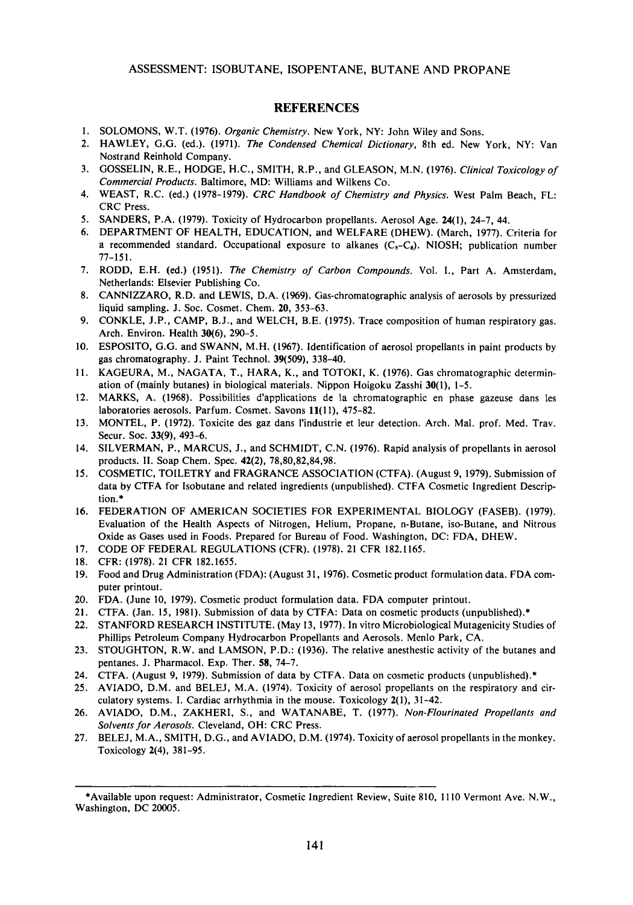# **REFERENCES**

- **1.**  SOLOMONS, W.T. **(1976).** *Organic Chemistry.* New York, NY: John Wiley and Sons.
- **2.**  HAWLEY, G.G. (ed.). **(1971).** *The Condensed Chemical Dictionary,* 8th ed. New York, NY: Van Nostrand Reinhold Company.
- **3.**  GOSSELIN, R.E., HODGE, H.C., SMITH, R.P., and GLEASON, M.N. **(1976).** *Clinical Toxicology of Commercial Products.* Baltimore, MD: Williams and Wilkens Co.
- **4.**  WEAST, R.C. (ed.) **(1978-1979).** *CRC Handbook of Chemistry and Physics.* West Palm Beach, FL: CRC Press.
- **5.**  SANDERS, P.A. **(1979).** Toxicity of Hydrocarbon propellants. Aerosol Age. **24(1), 24-7, 44.**
- **6.**  DEPARTMENT OF HEALTH, EDUCATION, and WELFARE (DHEW). (March, **1977).** Criteria for a recommended standard. Occupational exposure to alkanes  $(C<sub>5</sub>-C<sub>8</sub>)$ . NIOSH; publication number **77-15 1.**
- **7.**  RODD, E.H. (ed.) **(1951).** *The Chemistry of Carbon Compounds.* Vol. I., Part A. Amsterdam, Netherlands: Elsevier Publishing Co.
- **8.**  CANNIZZARO, R.D. and LEWIS, D.A. **(1%9).** Gas-chromatographic analysis of aerosols by pressurized liquid sampling. J. SOC. Cosmet. Chem. **20, 353-63.**
- **9.**  CONKLE, J.P., CAMP, B.J., and WELCH, B.E. **(1975).** Trace composition of human respiratory gas. Arch. Environ. Health **30(6), 290-5.**
- **10.**  ESPOSITO, **G.G.** and SWANN, M.H. **(1967).** Identification of aerosol propellants in paint products by gas chromatography. J. Paint Technol. *39(509),* **338-40.**
- **11.**  KAGEURA, M., NAGATA, T., HARA, K., and TOTOKI, K. **(1976).** Gas chromatographic determination of (mainly butanes) in biological materials. Nippon Hoigoku Zasshi **30(1), 1-5.**
- **12.**  MARKS, A. **(1968).** Possibilities d'applications de la chromatographic en phase gazeuse dans les laboratories aerosols. Parfum. Cosmet. Savons **11( 1 I), 475-82.**
- **13.**  MONTEL, P. **(1972).** Toxicite des gaz dans I'industrie et leur detection. Arch. Mal. prof. Med. Trav. Secur. SOC. **33(9), 493-6.**
- **14.**  SILVERMAN, P., MARCUS, J., and SCHMIDT, C.N. **(1976).** Rapid analysis of propellants in aerosol products. 11. Soap Chem. Spec. **42(2), 78,80,82,84,98.**
- **15.**  COSMETIC, TOILETRY and FRAGRANCE ASSOCIATION (CTFA). (August 9, **1979).** Submission of data by CTFA for Isobutane and related ingredients (unpublished). CTFA Cosmetic Ingredient Description.\*
- **16.**  FEDERATION OF AMERICAN SOCIETIES FOR EXPERIMENTAL BIOLOGY (FASEB). **(1979).**  Evaluation of the Health Aspects of Nitrogen, Helium, Propane, n-Butane, iso-Butane, and Nitrous Oxide as Gases used in Foods. Prepared for Bureau of Food. Washington, DC: FDA, DHEW.
- **17.**  CODE OF FEDERAL REGULATIONS (CFR). **(1978). 21** CFR **182.1165.**
- **18.**  CFR: **(1978). 21** CFR **182.1655.**
- **19.**  Food and Drug Administration (FDA): (August **31, 1976).** Cosmetic product formulation data. FDA computer printout.
- **20.**  FDA. (June **10, 1979).** Cosmetic product formulation data. FDA computer printout.
- **21.**  CTFA. (Jan. **15, 1981).** Submission of data by CTFA: Data on cosmetic products (unpublished).\*
- **22.**  STANFORD RESEARCH INSTITUTE. (May **13, 1977). In** vitro Microbiological Mutagenicity Studies of Phillips Petroleum Company Hydrocarbon Propellants and Aerosols. Menlo Park, CA.
- **23.**  STOUGHTON, R.W. and LAMSON, P.D.: **(1936).** The relative anesthestic activity of the butanes and pentanes. J. Pharmacol. Exp. Ther. **58, 74-7.**
- **24.**  CTFA. (August **9, 1979).** Submission of data by CTFA. Data on cosmetic products (unpublished).\*
- **25.**  AVIADO, D.M. and BELEJ, M.A. **(1974).** Toxicity of aerosol propellants **on** the respiratory and circulatory systems. I. Cardiac arrhythmia in the mouse. Toxicology **2(1), 31-42.**
- **26.**  AVIADO, D.M., ZAKHERI, S., and WATANABE, T. **(1977).** *Non-Flourinated Propellants and Solvents for Aerosols.* Cleveland, OH: CRC Press.
- **27.**  BELEJ, M.A., SMITH, D.G., and AVIADO, D.M. **(1974).** Toxicity of aerosol propellants in the monkey. Toxicology **2(4), 381-95.**

~~ ~~

<sup>\*</sup>Available upon request: Administrator, Cosmetic Ingredient Review, Suite 810, **11 10** Vermont Ave. N.W., Washington, DC **20005.**